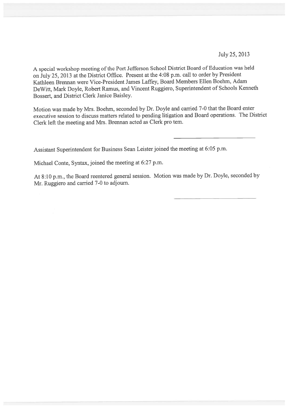July25, 2013

A special workshop meeting of the Port Jefferson School District Board of Education was held on July 25, <sup>2013</sup> at the District Office. Present at the 4:08 p.m. call to order by President Kathleen Brennan were Vice-President James Laffey, Board Members Ellen Boehm, Adam DeWitt, Mark Doyle, Robert Ramus, and Vincent Ruggiero, Superintendent of Schools Kenneth Bossert, and District Clerk Janice Baisley.

Motion was made by Mrs. Boehm, seconded by Dr. Doyle and carried 7-0 that the Board enter executive session to discuss matters related to pending litigation and Board operations. The District Clerk left the meeting and Mrs. Brennan acted as Clerk pro tern.

Assistant Superintendent for Business Sean Leister joined the meeting at 6:05 p.m.

Michael Conte, Syntax, joined the meeting at 6:27 p.m.

At 8:10 p.m., the Board reentered genera<sup>l</sup> session. Motion was made by Dr. Doyle, seconded by Mr. Ruggiero and carried 7-0 to adjourn.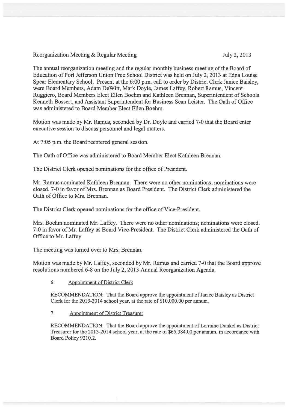Reorganization Meeting & Regular Meeting 3. July 2, 2013

The annual reorganization meeting and the regular monthly business meeting of the Board of Education of Port Jefferson Union Free School District was held on July 2, 2013 at Edna Louise Spear Elementary School. Present at the 6:00 p.m. call to order by District Clerk Janice Baisley, were Board Members, Adam DeWitt, Mark Doyle, James Laffey, Robert Ramus, Vincent Ruggiero, Board Members Elect Ellen Boehm and Kathleen Brennan, Superintendent of Schools Kenneth Bossert, and Assistant Superintendent for Business Sean Leister. The Oath of Office was administered to Board Member Elect Ellen Boehm.

Motion was made by Mr. Ramus, seconded by Dr. Doyle and carried 7-0 that the Board enter executive session to discuss personnel and legal matters.

At 7:05 p.m. the Board reentered general session.

The Oath of Office was administered to Board Member Elect Kathleen Brennan.

The District Clerk opened nominations for the office of President.

Mr. Ramus nominated Kathleen Brennan. There were no other nominations; nominations were closed. 7-0 in favor of Mrs. Brennan as Board President. The District Clerk administered the Oath of Office to Mrs. Brennan.

The District Clerk opened nominations for the office of Vice-President.

Mrs. Boehm nominated Mr. Laffey. There were no other nominations; nominations were closed. 7-0 in favor of Mr. Laffey as Board Vice-President. The District Clerk administered the Oath of Office to Mr. Laffey

The meeting was turned over to Mrs. Brennan.

Motion was made by Mr. Laffey, seconded by Mr. Ramus and carried 7-0 that the Board approve resolutions numbered 6-8 on the July 2, 2013 Annual Reorganization Agenda.

## 6. Appointment of District Clerk

RECOMMENDATION: That the Board approve the appointment of Janice Baisley as District Clerk for the 2013-2014 school year, at the rate of \$10,000.00 per annum.

7. Appointment of District Treasurer

RECOMMENDATION: That the Board approve the appointment of Lorraine Dunkel as District Treasurer for the 2013-2014 school year, at the rate of \$65,384.00 per annum, in accordance with Board Policy 9210.2.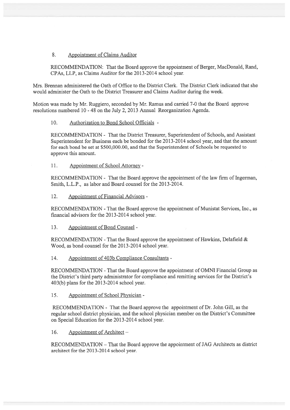## 8. Appointment of Claims Auditor

RECOMMENDATION: That the Board approve the appointment of Berger, MacDonald, Rand, CPAs, LLP, as Claims Auditor for the 2013-2014 school year.

Mrs. Brennan administered the Oath of Office to the District Clerk. The District Clerk indicated that she would administer the Oath to the District Treasurer and Claims Auditor during the week.

Motion was made by Mr. Ruggiero, seconded by Mr. Ramus and carried 7-0 that the Board approve resolutions numbered 10 - 48 on the July 2, 2013 Annual Reorganization Agenda.

#### 10. Authorization to Bond School Officials -

RECOMMENDATION - That the District Treasurer, Superintendent of Schools, and Assistant Superintendent for Business each be bonded for the 2013-2014 school year, and that the amount for each bond be set at \$500,000.00, and that the Superintendent of Schools be requested to approve this amount.

11. Appointment of School Attorney -

RECOMMENDATION - That the Board approve the appointment of the law firm of Ingerman, Smith, L.L.P., as labor and Board counsel for the 2013-2014.

12. Appointment of Financial Advisors -

RECOMMENDATION -That the Board approve the appointment of Munistat Services, Inc., as financial advisors for the 2013-2014 school year.

13. Appointment of Bond Counsel -

RECOMMENDATION - That the Board approve the appointment of Hawkins, Delafield  $\&$ Wood, as bond counsel for the 2013-2014 school year.

14. Appointment of 403b Compliance Consultants -

RECOMMENDATION -That the Board approve the appointment of OMNI Financial Group as the District's third party administrator for compliance and remitting services for the District's 403(b) plans for the 2013-2014 school year.

15. Appointment of School Physician -

RECOMMENDATION -That the Board approve the appointment of Dr. John Gill, as the regular school district physician, and the school physician member on the District's Committee on Special Education for the 2013-2014 school year.

16. Appointment of Architect —

RECOMMENDATION — That the Board approve the appointment of JAG Architects as district architect for the 2013-2014 school year.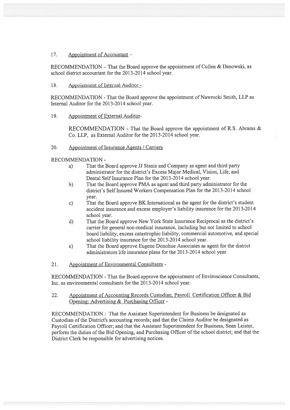## 17. Appointment of Accountant —

RECOMMENDATION — That the Board approve the appointment of Cullen & Danowski, as school district accountant for the 2013-2014 school year.

## 18. Appointment of Internal Auditor -

RECOMMENDATION -That the Board approve the appointment of Nawrocki Smith, LLP as Internal Auditor for the 2013-2014 school year.

### 19. Appointment of External Auditor-

RECOMMENDATION - That the Board approve the appointment of R.S. Abrams & Co. LLP, as External Auditor for the 2013-2014 school year.

### 20. Appointment of Insurance Agents / Carriers

RECOMMENDATION -

- a) That the Board approve JJ Stanis and Company as agen<sup>t</sup> and third party administrator for the district's Excess Major Medical, Vision, Life, and Dental Self Insurance Plan for the 2013-2014 school year.
- b) That the Board approve PMA as agen<sup>t</sup> and third party administrator for the district's Self Insured Workers Compensation Plan for the 2013-2014 school year.
- c) That the Board approve BK International as the agen<sup>t</sup> for the district's student accident insurance and excess employer's liability insurance for the 2013-2014 school year.
- d) That the Board approve New York State Insurance Reciprocal as the district's carrier for general non-medical insurance, including but not limited to school board liability, excess catastrophic liability, commercial automotive, and special school liability insurance for the 2013-2014 school year.
- e) That the Board approve Eugene Donohue Associates as agen<sup>t</sup> for the district administrators life insurance plans for the 2013-2014 school year.
- 21. Appointment of Environmental Consultants -

RECOMMENDATION -That the Board approve the appointment of Enviroscience Consultants, Inc. as environmental consultants for the 2013-20 14 school year.

## 22. Appointment of Accounting Records Custodian, Payroll Certification Officer & Bid Opening: Advertising & Purchasing Officer -

RECOMMENDATION: That the Assistant Superintendent for Business be designated as Custodian of the District's accounting records; and that the Claims Auditor be designated as Payroll Certification Officer; and that the Assistant Superintendent for Business, Sean Leister, perform the duties of the Bid Opening, and Purchasing Officer of the school district; and that the District Clerk be responsible for advertising notices.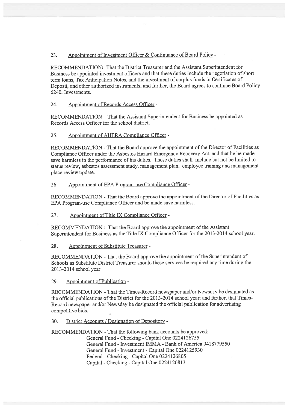23. Appointment of Investment Officer & Continuance of Board Policy -

RECOMMENDATION: That the District Treasurer and the Assistant Superintendent for Business be appointed investment officers and that these duties include the negotiation of short term loans, Tax Anticipation Notes, and the investment of surplus funds in Certificates of Deposit, and other authorized instruments; and further, the Board agrees to continue Board Policy 6240, Investments.

24. Appointment of Records Access Officer -

RECOMMENDATION: That the Assistant Superintendent for Business be appointed as Records Access Officer for the school district.

25. Appointment of AHERA Compliance Officer -

RECOMMENDATION - That the Board approve the appointment of the Director of Facilities as Compliance Officer under the Asbestos Hazard Emergency Recovery Act, and that he be made save harmless in the performance of his duties. These duties shall include but not be limited to status review, asbestos assessment study, managemen<sup>t</sup> <sup>p</sup>lan, employee training and managemen<sup>t</sup> place review update.

26. Appointment of EPA Program-use Compliance Officer -

RECOMMENDATION -That the Board approve the appointment of the Director of Facilities as EPA Program-use Compliance Officer and be made save harmless.

27. Appointment of Title IX Compliance Officer -

RECOMMENDATION: That the Board approve the appointment of the Assistant Superintendent for Business as the Title TX Compliance Officer for the 2013-2014 school year.

28. Appointment of Substitute Treasurer -

RECOMMENDATION -That the Board approve the appointment of the Superintendent of Schools as Substitute District Treasurer should these services be required any time during the 2013-2014 school year.

29. Appointment of Publication -

RECOMMENDATION -That the Times-Record newspaper and/or Newsday be designated as the official publications of the District for the 2013-2014 school year; and further, that Times-Record newspaper and/or Newsday be designated the official publication for advertising competitive bids.

30. District Accounts /Designation of Depository -

RECOMMENDATION -That the following bank accounts be approved:

General Fund -Checking -Capital One 0224126755 General Fund - Investment IMMA -Bank of America 9418779550 General Fund - Investment -Capital One 0224125930 Federal -Checking -Capital One 0224126805 Capital -Checking -Capital One 0224126813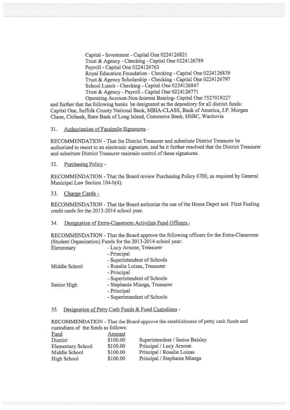Capital - Investment -Capital One 0224126821 Trust & Agency -Checking -Capital One 0224126789 Payroll - Capital One 0224126763 Royal Education Foundation -Checking -Capital One 0224126839 Trust & Agency Scholarship -Checking -Capital One 0224126797 School Lunch -Checking -Capital One 0224126847 Trust & Agency - Payroll -Capital One 0224126771 Operating Account-Non-Interest Bearing- Capital One 7527019227

and further that the following banks be designated as the depository for all district funds: Capital One, Suffolk County National Bank, MBIA-CLASS, Bank of America, J.P. Morgan Chase, Citibank, State Bank of Long Island, Commerce Bank, HSBC, Wachovia

#### 31. Authorization of Facsimile Signatures -

RECOMMENDATION -That the District Treasurer and substitute District Treasurer be authorized to resort to an electronic signature, and be it further resolved that the District Treasurer and substitute District Treasurer maintain control of these signatures.

32. Purchasing Policy -

RECOMMENDATION -That the Board review Purchasing Policy 6700, as required by General Municipal Law Section 104-b(4).

33. Charge Cards -

RECOMMENDATION -That the Board authorize the use of the Home Depot and Fleet Fueling credit cards for the 2013-2014 school year.

#### 34. Designation of Extra-Classroom Activities Fund Officers -

RECOMMENDATION -That the Board approve the following officers for the Extra-Classroom (Student Organization) Funds for the 2013-2014 school year:

| Elementary    | - Lucy Arnone, Treasurer      |
|---------------|-------------------------------|
|               | - Principal                   |
|               | - Superintendent of Schools   |
| Middle School | - Rosalie Loizas, Treasurer   |
|               | - Principal                   |
|               | - Superintendent of Schools   |
| Senior High   | - Stephanie Miazga, Treasurer |
|               | - Principal                   |
|               | - Superintendent of Schools   |
|               |                               |

35. Designation of Petty Cash Funds & Fund Custodians -

RECOMMENDATION -That the Board approve the establishment of petty cash funds and custodians of the funds as follows:

| Fund                     | Amount   |                                 |
|--------------------------|----------|---------------------------------|
| District                 | \$100.00 | Superintendent / Janice Baisley |
| <b>Elementary School</b> | \$100.00 | Principal / Lucy Arnone         |
| Middle School            | \$100.00 | Principal / Rosalie Loizas      |
| High School              | \$100.00 | Principal / Stephanie Miazga    |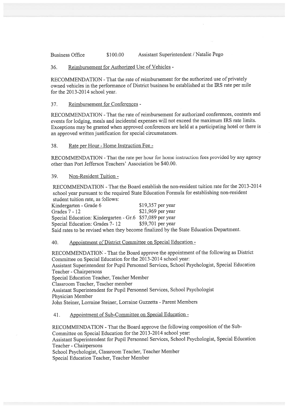Business Office \$100.00 Assistant Superintendent / Natalie Pego

### 36. Reimbursement for Authorized Use of Vehicles -

RECOMMENDATION -That the rate of reimbursement for the authorized use of privately owned vehicles in the performance of District business be established at the IRS rate per mile for the 2013-2014 school year.

## 37. Reimbursement for Conferences -

RECOMMENDATION -That the rate of reimbursement for authorized conferences, contests and events for lodging, meals and incidental expenses will not exceed the maximum IRS rate limits. Exceptions may be granted when approve<sup>d</sup> conferences are held at <sup>a</sup> participating hotel or there is an approve<sup>d</sup> written justification for special circumstances.

### 38. Rate per Hour -Home Instruction Fee -

RECOMMENDATION -That the rate per hour for home instruction fees provided by any agency other than Port Jefferson Teachers' Association be \$40.00.

### 39. Non-Resident Tuition -

RECOMMENDATION -That the Board establish the non-resident tuition rate for the 2013-2014 school year pursuan<sup>t</sup> to the required State Education Formula for establishing non-resident student tuition rate, as follows:

Kindergarten - Grade 6 \$19,357 per year<br>Grades 7 - 12 \$21,969 per year \$21,969 per year Special Education: Kindergarten - Gr.6 \$57,089 per year<br>Special Education: Grades 7-12 \$59,701 per year Special Education: Grades 7-12 Said rates to be revised when they become finalized by the State Education Department.

## 40. Appointment of District Committee on Special Education -

RECOMMENDATION -That the Board approve the appointment of the following as District Committee on Special Education for the 2013-2014 school year:

Assistant Superintendent for Pupil Personnel Services, School Psychologist, Special Education Teacher -Chairpersons

Special Education Teacher, Teacher Member

Classroom Teacher, Teacher member

Assistant Superintendent for Pupil Personnel Services, School Psychologist Physician Member

John Steiner, Lorraine Steiner, Lorraine Guzzetta - Parent Members

41. Appointment of Sub-Committee on Special Education -

RECOMMENDATION -That the Board approve the following composition of the Sub Committee on Special Education for the 2013-2014 school year: Assistant Superintendent for Pupil Personnel Services, School Psychologist, Special Education Teacher -Chairpersons

School Psychologist, Classroom Teacher, Teacher Member Special Education Teacher, Teacher Member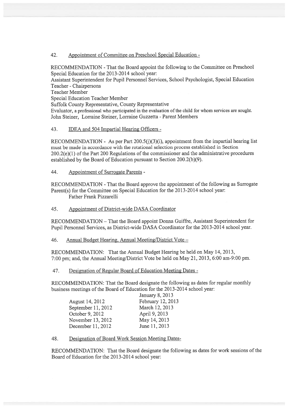## 42. Appointment of Committee on Preschool Special Education -

RECOMMENDATION -That the Board appoint the following to the Committee on Preschool Special Education for the 2013-2014 school year:

Assistant Superintendent for Pupil Personnel Services, School Psychologist, Special Education Teacher -Chairpersons

Teacher Member

Special Education Teacher Member

Suffolk County Representative, County Representative

Evaluator, <sup>a</sup> professional who participated in the evaluation of the child for whom services are sought. John Steiner, Lorraine Steiner, Lorraine Guzzetta -Parent Members

## 43. **IDEA and 504 Impartial Hearing Officers** -

RECOMMENDATION - As per Part 200.5(j)(3)(i), appointment from the impartial hearing list must be made in accordance with the rotational selection process established in Section 200.2(e)(l) of the Part 200 Regulations of the commissioner and the administrative procedures established by the Board of Education pursuan<sup>t</sup> to Section 200.2(b)(9).

44. Appointment of Surrogate Parents -

RECOMMENDATION -That the Board approve the appointment of the following as Surrogate Parent(s) for the Committee on Special Education for the 2013-2014 school year: Father Frank Pizzarelli

45. Appointment of District-wide DASA Coordinator

RECOMMENDATION — That the Board appoint Donna Guiffre, Assistant Superintendent for Pupil Personnel Services, as District-wide DASA Coordinator for the 2013-2014 school year.

46. Annual Budget Hearing. Annual Meeting/District Vote —

RECOMMENDATION: That the Annual Budget Hearing be held on May 14, 2013, 7:00 pm; and, the Annual Meeting/District Vote beheld on May 21, 2013, 6:00 am-9:00 pm.

47. Designation of Regular Board of Education Meeting Dates -

RECOMMENDATION: That the Board designate the following as dates for regular monthly business meetings of the Board of Education for the 2013-2014 school year:

|                    | January 8, 2013   |
|--------------------|-------------------|
| August 14, 2012    | February 12, 2013 |
| September 11, 2012 | March 12, 2013    |
| October 9, 2012    | April 9, 2013     |
| November 13, 2012  | May 14, 2013      |
| December 11, 2012  | June 11, 2013     |

48. Designation of Board Work Session Meeting Dates

RECOMMENDATION: That the Board designate the following as dates for work sessions of the Board of Education for the 2013-2014 school year: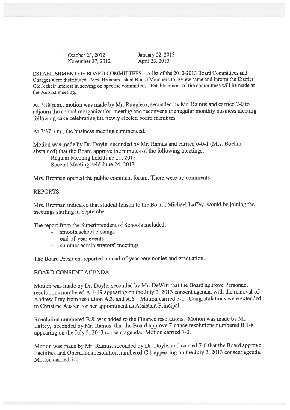October 23, <sup>2012</sup> January 22, 2013 November 27, 2012 **April 23, 2013** 

ESTABLISHMENT OF BOARD COMMITTEES — A list of the 2012-2013 Board Committees and Charges were distributed. Mrs. Brennan asked Board Members to review same and inform the District Clerk their interest in serving on specific committees. Establishment of the committees will be made at the August meeting.

At 7:18 p.m., motion was made by Mr. Ruggiero, seconded by Mr. Ramus and carried 7-0 to adjourn the annual reorganization meeting and reconvene the regular monthly business meeting following cake celebrating the newly elected board members.

At 7:37 p.m., the business meeting commenced.

Motion was made by Dr. Doyle, seconded by Mr. Ramus and carried 6-0-1 (Mrs. Boehm abstained) that the Board approve the minutes of the following meetings:

Regular Meeting held June 11, 2013 Special Meeting held June 24, 2013

Mrs. Brennan opened the public comment forum. There were no comments.

# REPORTS

Mrs. Brennan indicated that student liaison to the Board, Michael Laffey, would be joining the meetings starting in September.

The repor<sup>t</sup> from the Superintendent of Schools included:

- smooth school closings
- end-of-year events
- summer administrators' meetings

The Board President reported on end-of-year ceremonies and graduation.

# BOARD CONSENT AGENDA

Motion was made by Dr. Doyle, seconded by Mr. DeWitt that the Board approve Personnel resolutions numbered A.1-19 appearing on the July 2, <sup>2013</sup> consent agenda, with the removal of Andrew Frey from resolution A.3. and A.6. Motion carried 7-0. Congratulations were extended to Christine Austen for her appointment as Assistant Principal.

Resolution numbered B.8. was added to the Finance resolutions. Motion was made by Mr. Laffey, seconded by Mr. Ramus that the Board approve Finance resolutions numbered B.1-8 appearing on the July 2, <sup>2013</sup> consent agenda. Motion carried 7-0.

Motion was made by Mr. Ramus, seconded by Dr. Doyle, and carried 7-0 that the Board approve Facilities and Operations resolution numbered C.1 appearing on the July 2, <sup>2013</sup> consent agenda. Motion carried 7-0.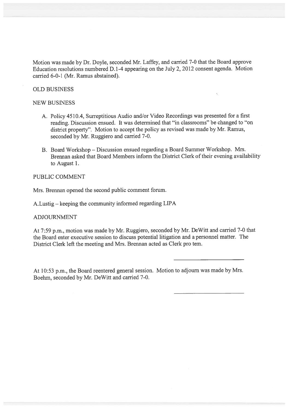Motion was made by Dr. Doyle, seconded Mr. Laffey, and carried 7-0 that the Board approve Education resolutions numbered D.1-4 appearing on the July 2, 2012 consent agenda. Motion carried 6-0-1 (Mr. Ramus abstained).

## OLD BUSiNESS

#### NEW BUSINESS

- A. Policy 4510.4, Surreptitious Audio and/or Video Recordings was presented for <sup>a</sup> first reading. Discussion ensued. It was determined that "in classrooms" be changed to "on district property". Motion to accep<sup>t</sup> the policy as revised was made by Mr. Ramus, seconded by Mr. Ruggiero and carried 7-0.
- B. Board Workshop Discussion ensued regarding <sup>a</sup> Board Summer Workshop. Mrs. Brennan asked that Board Members inform the District Clerk of their evening availability to August 1.

## PUBLIC COMMENT

Mrs. Brennan opened the second public comment forum.

A.Lustig — keeping the community informed regarding LIPA

## ADJOURNMENT

At 7:59 p.m., motion was made by Mr. Ruggiero, seconded by Mr. DeWitt and carried 7-0 that the Board enter executive session to discuss potential litigation and <sup>a</sup> personnel matter. The District Clerk left the meeting and Mrs. Brennan acted as Clerk pro tem.

At 10:53 p.m., the Board reentered genera<sup>l</sup> session. Motion to adjourn was made by Mrs. Boehm, seconded by Mr. DeWitt and carried 7-0.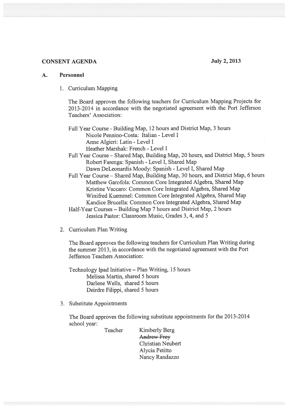# CONSENT AGENDA July 2, 2013

## A. Personnel

1. Curriculum Mapping

The Board approves the following teachers for Curriculum Mapping Projects for 2013-2014 in accordance with the negotiated agreemen<sup>t</sup> with the Port Jefferson Teachers' Association:

Full Year Course - Building Map, 12 hours and District Map, 3 hours Nicole Pennino-Costa: Italian -Level I Anne Algieri: Latin - Level I Heather Marshak: French - Level I

Full Year Course — Shared Map, Building Map, 20 hours, and District Map, <sup>5</sup> hours Robert Farenga: Spanish -Level I, Shared Map

Dawn DeLeonardis Moody: Spanish -Level I, Shared Map

- Full Year Course Shared Map, Building Map, 30 hours, and District Map, <sup>6</sup> hours Matthew Garofola: Common Core Integrated Algebra, Shared Map Kristine Vaccaro: Common Core Integrated Algebra, Shared Map Winifred Kuemmel: Common Core Integrated Algebra, Shared Map Kandice Brucella: Common Core Integrated Algebra, Shared Map
- Half-Year Courses Building Map <sup>7</sup> hours and District Map, <sup>2</sup> hours Jessica Pastor: Classroom Music, Grades 3, 4, and 5
- 2. Curriculum Plan Writing

The Board approves the following teachers for Curriculum Plan Writing during the summer 2013, in accordance with the negotiated agreemen<sup>t</sup> with the Port Jefferson Teachers Association:

Technology Ipad Initiative — Plan Writing, <sup>15</sup> hours Melissa Martin, shared 5 hours Darlene Wells, shared 5 hours Deirdre Filippi, shared 5 hours

3. Substitute Appointments

The Board approves the following substitute appointments for the 2013-2014 school year:

Teacher Kimberly Berg Andrew Frey Christian Neubert Alycia Petitto Nancy Randazzo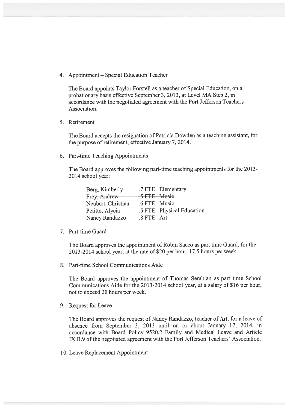4. Appointment — Special Education Teacher

The Board appoints Taylor Forstell as <sup>a</sup> teacher of Special Education, on <sup>a</sup> probationary basis effective September 3, 2013, at Level MA Step 2, in accordance with the negotiated agreemen<sup>t</sup> with the Port Jefferson Teachers Association.

5. Retirement

The Board accepts the resignation of Patricia Dowden as <sup>a</sup> teaching assistant, for the purpose of retirement, effective January 7, 2014.

6. Part-time Teaching Appointments

The Board approves the following part-time teaching appointments for the 2013-2014 school year:

|              | .7 FTE Elementary         |
|--------------|---------------------------|
| .5 FTE Musie |                           |
| .6 FTE Music |                           |
|              | .5 FTE Physical Education |
| .8 FTE Art   |                           |
|              |                           |

7. Part-time Guard

The Board approves the appointment of Robin Sacco as par<sup>t</sup> time Guard, for the 2013-2014 school year, at the rate of \$20 per hour, 17.5 hours per week.

8. Part-time School Communications Aide

The Board approves the appointment of Thomas Serabian as par<sup>t</sup> time School Communications Aide for the 2013-2014 school year, at <sup>a</sup> salary of \$16 per hour, not to exceed 20 hours per week.

9. Request for Leave

The Board approves the reques<sup>t</sup> of Nancy Randazzo, teacher of Art, for <sup>a</sup> leave of absence from September 3, 2013 until on or about January 17, 2014, in accordance with Board Policy 9520.2 Family and Medical Leave and Article IX.B.9 of the negotiated agreemen<sup>t</sup> with the Port Jefferson Teachers' Association.

10. Leave Replacement Appointment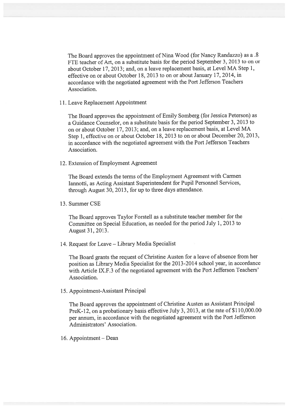The Board approves the appointment of Nina Wood (for Nancy Randazzo) as a .8 FTE teacher of Art, on <sup>a</sup> substitute basis for the period September 3, 2013 to on or about October 17, 2013; and, on <sup>a</sup> leave replacement basis, at Level MA Step 1, effective on or about October 18, 2013 to on or about January 17, 2014, in accordance with the negotiated agreemen<sup>t</sup> with the Port Jefferson Teachers Association.

11. Leave Replacement Appointment

The Board approves the appointment of Emily Somberg (for Jessica Peterson) as <sup>a</sup> Guidance Counselor, on <sup>a</sup> substitute basis for the period September 3, 2013 to on or about October 17, 2013; and, on <sup>a</sup> leave replacement basis, at Level MA Step 1, effective on or about October 18, <sup>2013</sup> to on or about December 20, 2013, in accordance with the negotiated agreemen<sup>t</sup> with the Port Jefferson Teachers Association.

12. Extension of Employment Agreement

The Board extends the terms of the Employment Agreement with Carmen Tannotti, as Acting Assistant Superintendent for Pupil Personnel Services, through August 30, 2013, for up to three days attendance.

13. Summer CSE

The Board approves Taylor Forstell as <sup>a</sup> substitute teacher member for the Committee on Special Education, as needed for the period July 1, <sup>2013</sup> to August 31, 2013.

14. Request for Leave — Library Media Specialist

The Board grants the reques<sup>t</sup> of Christine Austen for <sup>a</sup> leave of absence from her position as Library Media Specialist for the 2013-2014 school year, in accordance with Article IX.F.3 of the negotiated agreement with the Port Jefferson Teachers' Association.

15. Appointment-Assistant Principal

The Board approves the appointment of Christine Austen as Assistant Principal PreK-12, on a probationary basis effective July 3, 2013, at the rate of  $$110,000.00$ per annum, in accordance with the negotiated agreemen<sup>t</sup> with the Port Jefferson Administrators' Association.

16. Appointment — Dean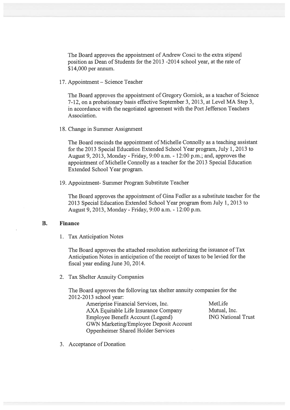The Board approves the appointment of Andrew Cosci to the extra stipend position as Dean of Students for the 2013 -2014 school year, at the rate of \$14,000 per annum.

17. Appointment — Science Teacher

The Board approves the appointment of Gregory Gorniok, as <sup>a</sup> teacher of Science 7-12, on <sup>a</sup> probationary basis effective September 3, 2013, at Level MA Step 3, in accordance with the negotiated agreemen<sup>t</sup> with the Port Jefferson Teachers Association.

18. Change in Summer Assignment

The Board rescinds the appointment of Michelle Connolly as <sup>a</sup> teaching assistant for the 2013 Special Education Extended School Year program, July 1, 2013 to August 9, 2013, Monday - Friday, 9:00 a.m. - 12:00 p.m.; and, approves the appointment of Michelle Connolly as <sup>a</sup> teacher for the 2013 Special Education Extended School Year program.

19. Appointment- Summer Program Substitute Teacher

The Board approves the appointment of Gina Fedler as <sup>a</sup> substitute teacher for the 2013 Special Education Extended School Year program from July 1, 2013 to August 9, 2013, Monday -Friday, 9:00 a.m. - 12:00 p.m.

# B. Finance

1. Tax Anticipation Notes

The Board approves the attached resolution authorizing the issuance of Tax Anticipation Notes in anticipation of the receipt of taxes to be levied for the fiscal year ending June 30, 2014.

2. Tax Shelter Annuity Companies

The Board approves the following tax shelter annuity companies for the 2012-2013 school year:

> Ameriprise Financial Services, Inc. MetLife AXA Equitable Life Insurance Company Mutual, Inc. Employee Benefit Account (Legend) 111 MG National Trust GWN Marketing/Employee Deposit Account Oppenheimer Shared Holder Services

3. Acceptance of Donation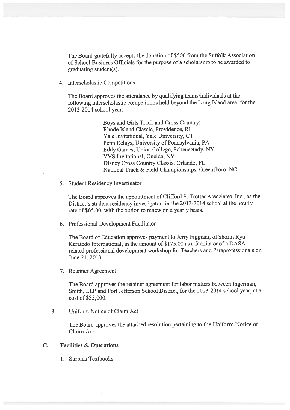The Board gratefully accepts the donation of \$500 from the Suffolk Association of School Business Officials for the purpose of <sup>a</sup> scholarship to be awarded to graduating student(s).

4. Interscholastic Competitions

The Board approves the attendance by qualifying teams/individuals at the following interscholastic competitions held beyond the Long Island area, for the 2013-2014 school year:

> Boys and Girls Track and Cross Country: Rhode Island Classic, Providence, RI Yale Invitational, Yale University, CT Penn Relays, University of Pennsylvania, PA Eddy Games, Union College, Schenectady, NY VVS Invitational, Oneida, NY Disney Cross Country Classis, Orlando, FL National Track & Field Championships, Greensboro, NC

5. Student Residency Investigator

The Board approves the appointment of Clifford S. Trotter Associates, Inc., as the District's student residency investigator for the 2013-2014 school at the hourly rate of \$65.00, with the option to renew on <sup>a</sup> yearly basis.

6. Professional Development Facilitator

The Board of Education approves paymen<sup>t</sup> to Jerry Figgiani, of Shorin Ryu Karatedo International, in the amount of \$175.00 as <sup>a</sup> facilitator of <sup>a</sup> DASA related professional development workshop for Teachers and Paraprofessionals on June 21, 2013.

7. Retainer Agreement

The Board approves the retainer agreemen<sup>t</sup> for labor matters between Ingerman, Smith, LLP and Port Jefferson School District, for the 20 13-2014 school year, at <sup>a</sup> cost of \$35,000.

8. Uniform Notice of Claim Act

The Board approves the attached resolution pertaining to the Uniform Notice of Claim Act.

## C. Facilities & Operations

1. Surplus Textbooks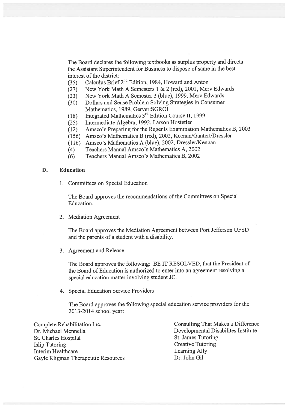The Board declares the following textbooks as surplus property and directs the Assistant Superintendent for Business to dispose of same in the best interest of the district:

- (35) Calculus Brief 2<sup>nd</sup> Edition, 1984, Howard and Anton
- (27) New York Math A Semesters 1 & 2 (red), 2001, Merv Edwards
- (23) New York Math A Semester 3 (blue), 1999, Merv Edwards
- (30) Dollars and Sense Problem Solving Strategies in Consumer Mathematics, 1989, Gerver:SGROI
- (18) Integrated Mathematics  $3<sup>rd</sup>$  Edition Course II, 1999
- (25) Intermediate Algebra, 1992, Larson Hostetler
- (12) Amsco's Preparing for the Regents Examination Mathematics B, <sup>2003</sup>
- (156) Amsco's Mathematics B (red), 2002, Keenan/Gantert/Dressler
- (116) Amsco's Mathematics A (blue), 2002, Dressler/Kennan
- (4) Teachers Manual Amsco's Mathematics A, 2002
- (6) Teachers Manual Ainsco's Mathematics B, 2002

## D. Education

1. Committees on Special Education

The Board approves the recommendations of the Committees on Special Education.

2. Mediation Agreement

The Board approves the Mediation Agreement between Port Jefferson UFSD and the parents of <sup>a</sup> student with <sup>a</sup> disability.

3. Agreement and Release

The Board approves the following: BE IT RESOLVED, that the President of the Board of Education is authorized to enter into an agreemen<sup>t</sup> resolving <sup>a</sup> special education matter involving student JC.

4. Special Education Service Providers

The Board approves the following special education service providers for the 2013-2014 school year:

Complete Rehabilitation Inc. Consulting That Makes a Difference Dr. Michael Mennella Disabilites Institute St. Charles Hospital St. James Tutoring Islip Tutoring Creative Tutoring Creative Tutoring Interim Healthcare Learning Ally Gayle Kligman Therapeutic Resources Dr. John Gil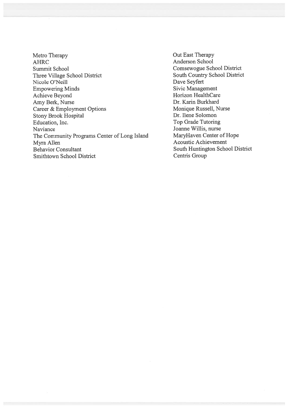- Metro Therapy AHRC Summit School Three Village School District Nicole O'Neill Empowering Minds Achieve Beyond Amy Berk, Nurse Career & Employment Options Stony Brook Hospital Education, Inc. Naviance The Community Programs Center of Long Island Myra Allen Behavior Consultant Smithtown School District
- Out East Therapy Anderson School Comsewogue School District South Country School District Dave Seyfert Sivic Management Horizon HealthCare Dr. Karin Burkhard Monique Russell, Nurse Dr. Ilene Solomon Top Grade Tutoring Joanne Willis, nurse MaryHaven Center of Hope Acoustic Achievement South Huntington School District Centris Group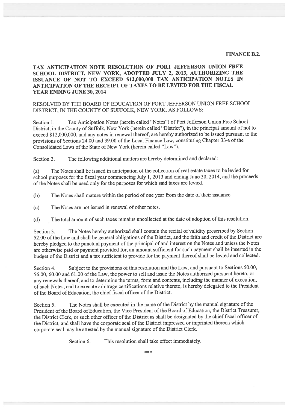#### FINANCE B.2.

# TAX ANTICIPATION NOTE RESOLUTION OF PORT JEFFERSON UNION FREE SCHOOL DISTRICT, NEW YORK, ADOPTED JULY 2, 2013, AUTHORIZING THE ISSUANCE OF NOT TO EXCEED \$12,000,000 TAX ANTICIPATION NOTES IN ANTICIPATION OF THE RECEIPT OF TAXES TO BE LEVIED FOR THE FISCAL YEAR ENDING JUNE 30, 2014

## RESOLVED BY THE BOARD OF EDUCATION OF PORT JEFFERSON UNION FREE SCHOOL DISTRICT, IN THE COUNTY OF SUFFOLK, NEW YORK, AS FOLLOWS:

Section 1. Tax Anticipation Notes (herein called "Notes") of Port Jefferson Union Free School District, in the County of Suffolk, New York (herein called "District"), in the principal amount of not to exceed \$12,000,000, and any notes in renewal thereof, are hereby authorized to be issued pursuan<sup>t</sup> to the provisions of Sections 24.00 and 39.00 of the Local Finance Law, constituting Chapter 33-a of the Consolidated Laws of the State of New York (herein called "Law").

Section 2. The following additional matters are hereby determined and declared:

(a) The Notes shall be issued in anticipation of the collection of real estate taxes to be levied for school purposes for the fiscal year commencing July 1, <sup>2013</sup> and ending June 30, 2014, and the proceeds of the Notes shall be used only for the purposes for which said taxes are levied.

(b) The Notes shall mature within the period of one year from the date of their issuance.

(c) The Notes are not issued in renewal of other notes.

(d) The total amount of such taxes remains uncollected at the date of adoption of this resolution.

Section 3. The Notes hereby authorized shall contain the recital of validity prescribed by Section 52.00 of the Law and shall be genera<sup>l</sup> obligations of the District, and the faith and credit of the District are hereby <sup>p</sup>ledged to the punctual paymen<sup>t</sup> of the principal of and interest on the Notes and unless the Notes are otherwise paid or paymen<sup>t</sup> provided for, an amount sufficient for such paymen<sup>t</sup> shall be inserted in the budget of the District and <sup>a</sup> tax sufficient to provide for the paymen<sup>t</sup> thereof shall be levied and collected.

Section 4. Subject to the provisions of this resolution and the Law, and pursuant to Sections 50.00, 56.00, 60.00 and 61.00 of the Law, the power to sell and issue the Notes authorized pursuan<sup>t</sup> hereto, or any renewals thereof, and to determine the terms, form and contents, including the manner of execution, of such Notes, and to execute arbitrage certifications relative thereto, is hereby delegated to the President of the Board of Education, the chief fiscal officer of the District.

Section 5. The Notes shall be executed in the name of the District by the manual signature of the President of the Board of Education, the Vice President of the Board of Education, the District Treasurer, the District Clerk, or such other officer of the District as shall be designated by the chief fiscal officer of the District, and shall have the corporate seal of the District impressed or imprinted thereon which corporate seal may be attested by the manual signature of the District Clerk.

Section 6. This resolution shall take effect immediately.

\*\*\*